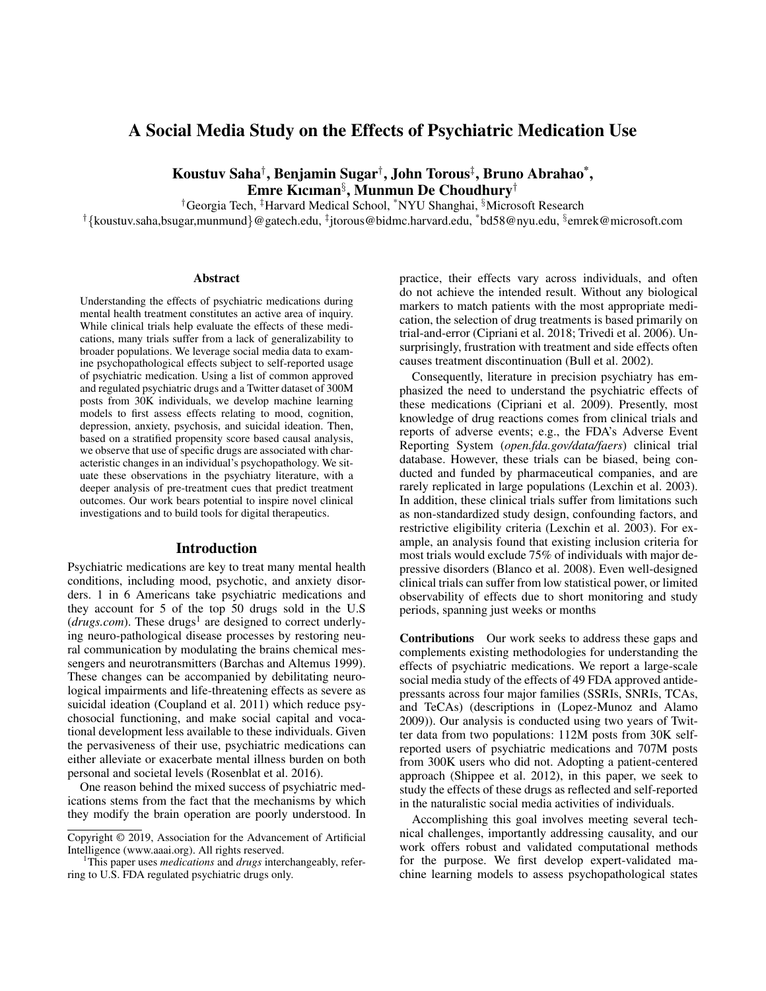# A Social Media Study on the Effects of Psychiatric Medication Use

Koustuv Saha† , Benjamin Sugar† , John Torous‡ , Bruno Abrahao\* , Emre Kıcıman§ , Munmun De Choudhury†

†Georgia Tech, ‡Harvard Medical School, \*NYU Shanghai, §Microsoft Research

 $^\dagger$ {koustuv.saha,bsugar,munmund}@gatech.edu,  $^\ddagger$ jtorous@bidmc.harvard.edu,  $^*$ bd58@nyu.edu,  $^{\S}$ emrek@microsoft.com

#### **Abstract**

Understanding the effects of psychiatric medications during mental health treatment constitutes an active area of inquiry. While clinical trials help evaluate the effects of these medications, many trials suffer from a lack of generalizability to broader populations. We leverage social media data to examine psychopathological effects subject to self-reported usage of psychiatric medication. Using a list of common approved and regulated psychiatric drugs and a Twitter dataset of 300M posts from 30K individuals, we develop machine learning models to first assess effects relating to mood, cognition, depression, anxiety, psychosis, and suicidal ideation. Then, based on a stratified propensity score based causal analysis, we observe that use of specific drugs are associated with characteristic changes in an individual's psychopathology. We situate these observations in the psychiatry literature, with a deeper analysis of pre-treatment cues that predict treatment outcomes. Our work bears potential to inspire novel clinical investigations and to build tools for digital therapeutics.

#### Introduction

Psychiatric medications are key to treat many mental health conditions, including mood, psychotic, and anxiety disorders. 1 in 6 Americans take psychiatric medications and they account for 5 of the top 50 drugs sold in the U.S  $(drugs.com)$ . These drugs<sup>1</sup> are designed to correct underlying neuro-pathological disease processes by restoring neural communication by modulating the brains chemical messengers and neurotransmitters (Barchas and Altemus 1999). These changes can be accompanied by debilitating neurological impairments and life-threatening effects as severe as suicidal ideation (Coupland et al. 2011) which reduce psychosocial functioning, and make social capital and vocational development less available to these individuals. Given the pervasiveness of their use, psychiatric medications can either alleviate or exacerbate mental illness burden on both personal and societal levels (Rosenblat et al. 2016).

One reason behind the mixed success of psychiatric medications stems from the fact that the mechanisms by which they modify the brain operation are poorly understood. In practice, their effects vary across individuals, and often do not achieve the intended result. Without any biological markers to match patients with the most appropriate medication, the selection of drug treatments is based primarily on trial-and-error (Cipriani et al. 2018; Trivedi et al. 2006). Unsurprisingly, frustration with treatment and side effects often causes treatment discontinuation (Bull et al. 2002).

Consequently, literature in precision psychiatry has emphasized the need to understand the psychiatric effects of these medications (Cipriani et al. 2009). Presently, most knowledge of drug reactions comes from clinical trials and reports of adverse events; e.g., the FDA's Adverse Event Reporting System (*open.fda.gov/data/faers*) clinical trial database. However, these trials can be biased, being conducted and funded by pharmaceutical companies, and are rarely replicated in large populations (Lexchin et al. 2003). In addition, these clinical trials suffer from limitations such as non-standardized study design, confounding factors, and restrictive eligibility criteria (Lexchin et al. 2003). For example, an analysis found that existing inclusion criteria for most trials would exclude 75% of individuals with major depressive disorders (Blanco et al. 2008). Even well-designed clinical trials can suffer from low statistical power, or limited observability of effects due to short monitoring and study periods, spanning just weeks or months

Contributions Our work seeks to address these gaps and complements existing methodologies for understanding the effects of psychiatric medications. We report a large-scale social media study of the effects of 49 FDA approved antidepressants across four major families (SSRIs, SNRIs, TCAs, and TeCAs) (descriptions in (Lopez-Munoz and Alamo 2009)). Our analysis is conducted using two years of Twitter data from two populations: 112M posts from 30K selfreported users of psychiatric medications and 707M posts from 300K users who did not. Adopting a patient-centered approach (Shippee et al. 2012), in this paper, we seek to study the effects of these drugs as reflected and self-reported in the naturalistic social media activities of individuals.

Accomplishing this goal involves meeting several technical challenges, importantly addressing causality, and our work offers robust and validated computational methods for the purpose. We first develop expert-validated machine learning models to assess psychopathological states

Copyright © 2019, Association for the Advancement of Artificial Intelligence (www.aaai.org). All rights reserved.

<sup>1</sup>This paper uses *medications* and *drugs* interchangeably, referring to U.S. FDA regulated psychiatric drugs only.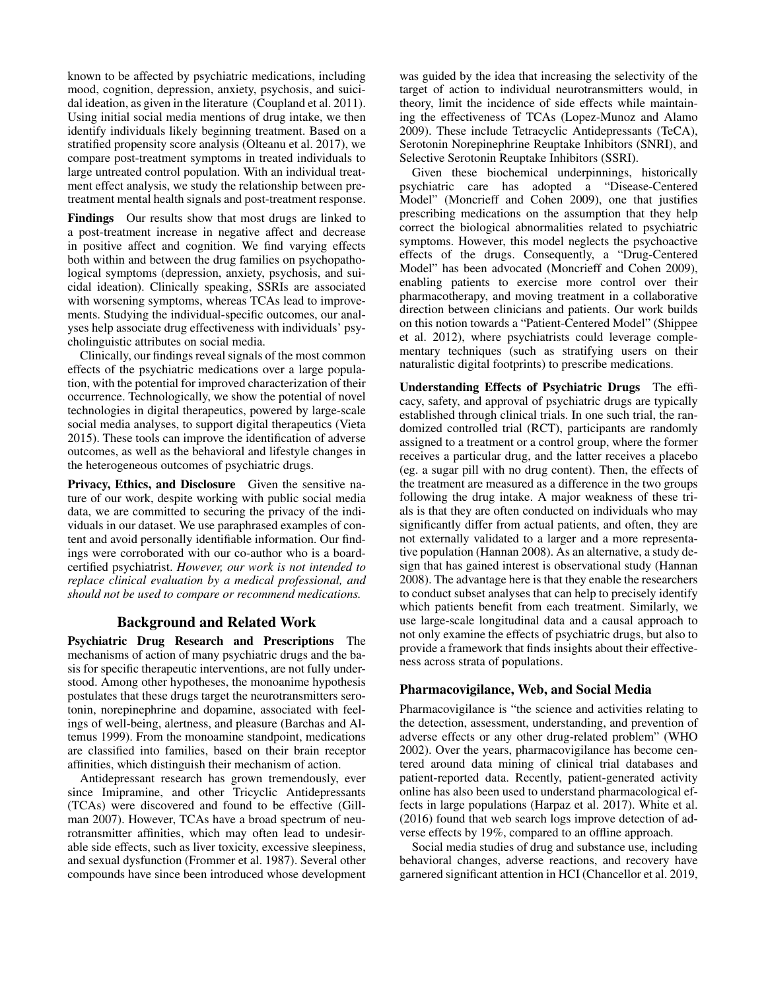known to be affected by psychiatric medications, including mood, cognition, depression, anxiety, psychosis, and suicidal ideation, as given in the literature (Coupland et al. 2011). Using initial social media mentions of drug intake, we then identify individuals likely beginning treatment. Based on a stratified propensity score analysis (Olteanu et al. 2017), we compare post-treatment symptoms in treated individuals to large untreated control population. With an individual treatment effect analysis, we study the relationship between pretreatment mental health signals and post-treatment response.

Findings Our results show that most drugs are linked to a post-treatment increase in negative affect and decrease in positive affect and cognition. We find varying effects both within and between the drug families on psychopathological symptoms (depression, anxiety, psychosis, and suicidal ideation). Clinically speaking, SSRIs are associated with worsening symptoms, whereas TCAs lead to improvements. Studying the individual-specific outcomes, our analyses help associate drug effectiveness with individuals' psycholinguistic attributes on social media.

Clinically, our findings reveal signals of the most common effects of the psychiatric medications over a large population, with the potential for improved characterization of their occurrence. Technologically, we show the potential of novel technologies in digital therapeutics, powered by large-scale social media analyses, to support digital therapeutics (Vieta 2015). These tools can improve the identification of adverse outcomes, as well as the behavioral and lifestyle changes in the heterogeneous outcomes of psychiatric drugs.

Privacy, Ethics, and Disclosure Given the sensitive nature of our work, despite working with public social media data, we are committed to securing the privacy of the individuals in our dataset. We use paraphrased examples of content and avoid personally identifiable information. Our findings were corroborated with our co-author who is a boardcertified psychiatrist. *However, our work is not intended to replace clinical evaluation by a medical professional, and should not be used to compare or recommend medications.*

## Background and Related Work

Psychiatric Drug Research and Prescriptions The mechanisms of action of many psychiatric drugs and the basis for specific therapeutic interventions, are not fully understood. Among other hypotheses, the monoanime hypothesis postulates that these drugs target the neurotransmitters serotonin, norepinephrine and dopamine, associated with feelings of well-being, alertness, and pleasure (Barchas and Altemus 1999). From the monoamine standpoint, medications are classified into families, based on their brain receptor affinities, which distinguish their mechanism of action.

Antidepressant research has grown tremendously, ever since Imipramine, and other Tricyclic Antidepressants (TCAs) were discovered and found to be effective (Gillman 2007). However, TCAs have a broad spectrum of neurotransmitter affinities, which may often lead to undesirable side effects, such as liver toxicity, excessive sleepiness, and sexual dysfunction (Frommer et al. 1987). Several other compounds have since been introduced whose development was guided by the idea that increasing the selectivity of the target of action to individual neurotransmitters would, in theory, limit the incidence of side effects while maintaining the effectiveness of TCAs (Lopez-Munoz and Alamo 2009). These include Tetracyclic Antidepressants (TeCA), Serotonin Norepinephrine Reuptake Inhibitors (SNRI), and Selective Serotonin Reuptake Inhibitors (SSRI).

Given these biochemical underpinnings, historically psychiatric care has adopted a "Disease-Centered Model" (Moncrieff and Cohen 2009), one that justifies prescribing medications on the assumption that they help correct the biological abnormalities related to psychiatric symptoms. However, this model neglects the psychoactive effects of the drugs. Consequently, a "Drug-Centered Model" has been advocated (Moncrieff and Cohen 2009), enabling patients to exercise more control over their pharmacotherapy, and moving treatment in a collaborative direction between clinicians and patients. Our work builds on this notion towards a "Patient-Centered Model" (Shippee et al. 2012), where psychiatrists could leverage complementary techniques (such as stratifying users on their naturalistic digital footprints) to prescribe medications.

Understanding Effects of Psychiatric Drugs The efficacy, safety, and approval of psychiatric drugs are typically established through clinical trials. In one such trial, the randomized controlled trial (RCT), participants are randomly assigned to a treatment or a control group, where the former receives a particular drug, and the latter receives a placebo (eg. a sugar pill with no drug content). Then, the effects of the treatment are measured as a difference in the two groups following the drug intake. A major weakness of these trials is that they are often conducted on individuals who may significantly differ from actual patients, and often, they are not externally validated to a larger and a more representative population (Hannan 2008). As an alternative, a study design that has gained interest is observational study (Hannan 2008). The advantage here is that they enable the researchers to conduct subset analyses that can help to precisely identify which patients benefit from each treatment. Similarly, we use large-scale longitudinal data and a causal approach to not only examine the effects of psychiatric drugs, but also to provide a framework that finds insights about their effectiveness across strata of populations.

## Pharmacovigilance, Web, and Social Media

Pharmacovigilance is "the science and activities relating to the detection, assessment, understanding, and prevention of adverse effects or any other drug-related problem" (WHO 2002). Over the years, pharmacovigilance has become centered around data mining of clinical trial databases and patient-reported data. Recently, patient-generated activity online has also been used to understand pharmacological effects in large populations (Harpaz et al. 2017). White et al. (2016) found that web search logs improve detection of adverse effects by 19%, compared to an offline approach.

Social media studies of drug and substance use, including behavioral changes, adverse reactions, and recovery have garnered significant attention in HCI (Chancellor et al. 2019,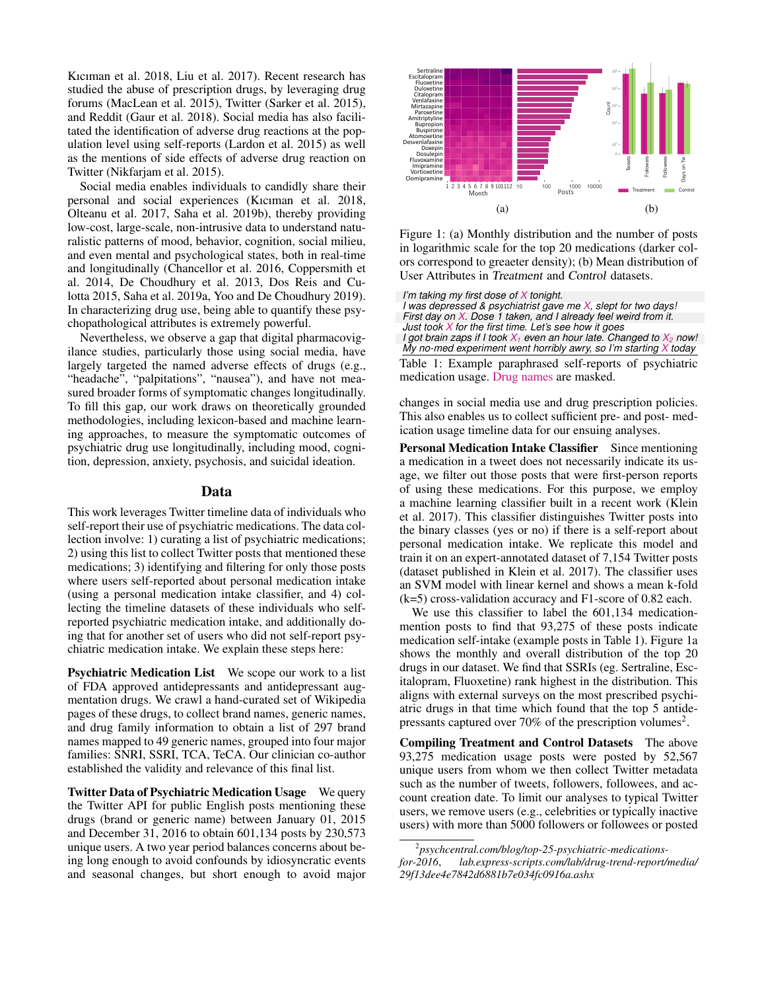Kıcıman et al. 2018, Liu et al. 2017). Recent research has studied the abuse of prescription drugs, by leveraging drug forums (MacLean et al. 2015), Twitter (Sarker et al. 2015), and Reddit (Gaur et al. 2018). Social media has also facilitated the identification of adverse drug reactions at the population level using self-reports (Lardon et al. 2015) as well as the mentions of side effects of adverse drug reaction on Twitter (Nikfarjam et al. 2015).

Social media enables individuals to candidly share their personal and social experiences (Kıcıman et al. 2018, Olteanu et al. 2017, Saha et al. 2019b), thereby providing low-cost, large-scale, non-intrusive data to understand naturalistic patterns of mood, behavior, cognition, social milieu, and even mental and psychological states, both in real-time and longitudinally (Chancellor et al. 2016, Coppersmith et al. 2014, De Choudhury et al. 2013, Dos Reis and Culotta 2015, Saha et al. 2019a, Yoo and De Choudhury 2019). In characterizing drug use, being able to quantify these psychopathological attributes is extremely powerful.

Nevertheless, we observe a gap that digital pharmacovigilance studies, particularly those using social media, have largely targeted the named adverse effects of drugs (e.g., "headache", "palpitations", "nausea"), and have not measured broader forms of symptomatic changes longitudinally. To fill this gap, our work draws on theoretically grounded methodologies, including lexicon-based and machine learning approaches, to measure the symptomatic outcomes of psychiatric drug use longitudinally, including mood, cognition, depression, anxiety, psychosis, and suicidal ideation.

#### Data

This work leverages Twitter timeline data of individuals who self-report their use of psychiatric medications. The data collection involve: 1) curating a list of psychiatric medications; 2) using this list to collect Twitter posts that mentioned these medications; 3) identifying and filtering for only those posts where users self-reported about personal medication intake (using a personal medication intake classifier, and 4) collecting the timeline datasets of these individuals who selfreported psychiatric medication intake, and additionally doing that for another set of users who did not self-report psychiatric medication intake. We explain these steps here:

Psychiatric Medication List We scope our work to a list of FDA approved antidepressants and antidepressant augmentation drugs. We crawl a hand-curated set of Wikipedia pages of these drugs, to collect brand names, generic names, and drug family information to obtain a list of 297 brand names mapped to 49 generic names, grouped into four major families: SNRI, SSRI, TCA, TeCA. Our clinician co-author established the validity and relevance of this final list.

Twitter Data of Psychiatric Medication Usage We query the Twitter API for public English posts mentioning these drugs (brand or generic name) between January 01, 2015 and December 31, 2016 to obtain 601,134 posts by 230,573 unique users. A two year period balances concerns about being long enough to avoid confounds by idiosyncratic events and seasonal changes, but short enough to avoid major



Figure 1: (a) Monthly distribution and the number of posts in logarithmic scale for the top 20 medications (darker colors correspond to greaeter density); (b) Mean distribution of User Attributes in Treatment and Control datasets.

*I'm taking my first dose of X tonight.*

*I was depressed & psychiatrist gave me X, slept for two days! First day on X. Dose 1 taken, and I already feel weird from it. Just took X for the first time. Let's see how it goes I got brain zaps if I took X<sup>1</sup> even an hour late. Changed to X<sup>2</sup> now! My no-med experiment went horribly awry, so I'm starting X today*

Table 1: Example paraphrased self-reports of psychiatric medication usage. Drug names are masked.

changes in social media use and drug prescription policies. This also enables us to collect sufficient pre- and post- medication usage timeline data for our ensuing analyses.

Personal Medication Intake Classifier Since mentioning a medication in a tweet does not necessarily indicate its usage, we filter out those posts that were first-person reports of using these medications. For this purpose, we employ a machine learning classifier built in a recent work (Klein et al. 2017). This classifier distinguishes Twitter posts into the binary classes (yes or no) if there is a self-report about personal medication intake. We replicate this model and train it on an expert-annotated dataset of 7,154 Twitter posts (dataset published in Klein et al. 2017). The classifier uses an SVM model with linear kernel and shows a mean k-fold (k=5) cross-validation accuracy and F1-score of 0.82 each.

We use this classifier to label the 601,134 medicationmention posts to find that 93,275 of these posts indicate medication self-intake (example posts in Table 1). Figure 1a shows the monthly and overall distribution of the top 20 drugs in our dataset. We find that SSRIs (eg. Sertraline, Escitalopram, Fluoxetine) rank highest in the distribution. This aligns with external surveys on the most prescribed psychiatric drugs in that time which found that the top 5 antidepressants captured over 70% of the prescription volumes<sup>2</sup>.

Compiling Treatment and Control Datasets The above 93,275 medication usage posts were posted by 52,567 unique users from whom we then collect Twitter metadata such as the number of tweets, followers, followees, and account creation date. To limit our analyses to typical Twitter users, we remove users (e.g., celebrities or typically inactive users) with more than 5000 followers or followees or posted

<sup>2</sup> *psychcentral.com/blog/top-25-psychiatric-medications-*

*for-2016*, *lab.express-scripts.com/lab/drug-trend-report/media/ 29f13dee4e7842d6881b7e034fc0916a.ashx*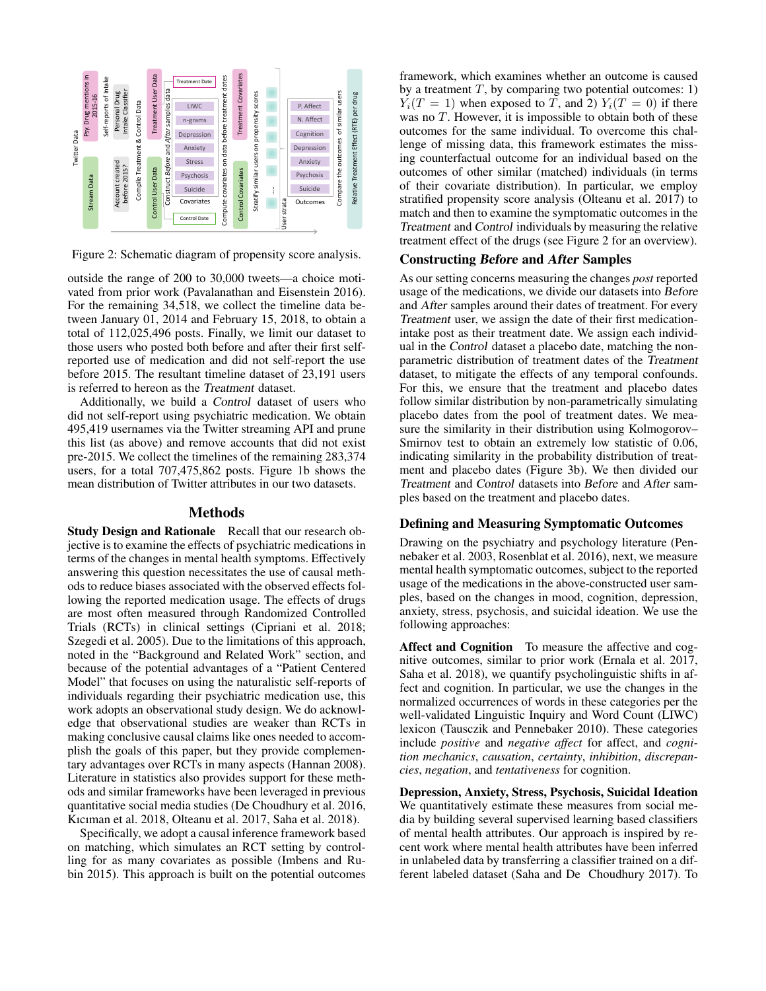

Figure 2: Schematic diagram of propensity score analysis.

outside the range of 200 to 30,000 tweets—a choice motivated from prior work (Pavalanathan and Eisenstein 2016). For the remaining 34,518, we collect the timeline data between January 01, 2014 and February 15, 2018, to obtain a total of 112,025,496 posts. Finally, we limit our dataset to those users who posted both before and after their first selfreported use of medication and did not self-report the use before 2015. The resultant timeline dataset of 23,191 users is referred to hereon as the Treatment dataset.

Additionally, we build a Control dataset of users who did not self-report using psychiatric medication. We obtain 495,419 usernames via the Twitter streaming API and prune this list (as above) and remove accounts that did not exist pre-2015. We collect the timelines of the remaining 283,374 users, for a total 707,475,862 posts. Figure 1b shows the mean distribution of Twitter attributes in our two datasets.

### **Methods**

Study Design and Rationale Recall that our research objective is to examine the effects of psychiatric medications in terms of the changes in mental health symptoms. Effectively answering this question necessitates the use of causal methods to reduce biases associated with the observed effects following the reported medication usage. The effects of drugs are most often measured through Randomized Controlled Trials (RCTs) in clinical settings (Cipriani et al. 2018; Szegedi et al. 2005). Due to the limitations of this approach, noted in the "Background and Related Work" section, and because of the potential advantages of a "Patient Centered Model" that focuses on using the naturalistic self-reports of individuals regarding their psychiatric medication use, this work adopts an observational study design. We do acknowledge that observational studies are weaker than RCTs in making conclusive causal claims like ones needed to accomplish the goals of this paper, but they provide complementary advantages over RCTs in many aspects (Hannan 2008). Literature in statistics also provides support for these methods and similar frameworks have been leveraged in previous quantitative social media studies (De Choudhury et al. 2016, Kıcıman et al. 2018, Olteanu et al. 2017, Saha et al. 2018).

Specifically, we adopt a causal inference framework based on matching, which simulates an RCT setting by controlling for as many covariates as possible (Imbens and Rubin 2015). This approach is built on the potential outcomes framework, which examines whether an outcome is caused by a treatment  $T$ , by comparing two potential outcomes: 1)  $Y_i(T = 1)$  when exposed to T, and 2)  $Y_i(T = 0)$  if there was no T. However, it is impossible to obtain both of these outcomes for the same individual. To overcome this challenge of missing data, this framework estimates the missing counterfactual outcome for an individual based on the outcomes of other similar (matched) individuals (in terms of their covariate distribution). In particular, we employ stratified propensity score analysis (Olteanu et al. 2017) to match and then to examine the symptomatic outcomes in the Treatment and Control individuals by measuring the relative treatment effect of the drugs (see Figure 2 for an overview).

### Constructing Before and After Samples

As our setting concerns measuring the changes *post* reported usage of the medications, we divide our datasets into Before and After samples around their dates of treatment. For every Treatment user, we assign the date of their first medicationintake post as their treatment date. We assign each individual in the Control dataset a placebo date, matching the nonparametric distribution of treatment dates of the Treatment dataset, to mitigate the effects of any temporal confounds. For this, we ensure that the treatment and placebo dates follow similar distribution by non-parametrically simulating placebo dates from the pool of treatment dates. We measure the similarity in their distribution using Kolmogorov– Smirnov test to obtain an extremely low statistic of 0.06, indicating similarity in the probability distribution of treatment and placebo dates (Figure 3b). We then divided our Treatment and Control datasets into Before and After samples based on the treatment and placebo dates.

#### Defining and Measuring Symptomatic Outcomes

Drawing on the psychiatry and psychology literature (Pennebaker et al. 2003, Rosenblat et al. 2016), next, we measure mental health symptomatic outcomes, subject to the reported usage of the medications in the above-constructed user samples, based on the changes in mood, cognition, depression, anxiety, stress, psychosis, and suicidal ideation. We use the following approaches:

Affect and Cognition To measure the affective and cognitive outcomes, similar to prior work (Ernala et al. 2017, Saha et al. 2018), we quantify psycholinguistic shifts in affect and cognition. In particular, we use the changes in the normalized occurrences of words in these categories per the well-validated Linguistic Inquiry and Word Count (LIWC) lexicon (Tausczik and Pennebaker 2010). These categories include *positive* and *negative affect* for affect, and *cognition mechanics*, *causation*, *certainty*, *inhibition*, *discrepancies*, *negation*, and *tentativeness* for cognition.

Depression, Anxiety, Stress, Psychosis, Suicidal Ideation We quantitatively estimate these measures from social media by building several supervised learning based classifiers of mental health attributes. Our approach is inspired by recent work where mental health attributes have been inferred in unlabeled data by transferring a classifier trained on a different labeled dataset (Saha and De Choudhury 2017). To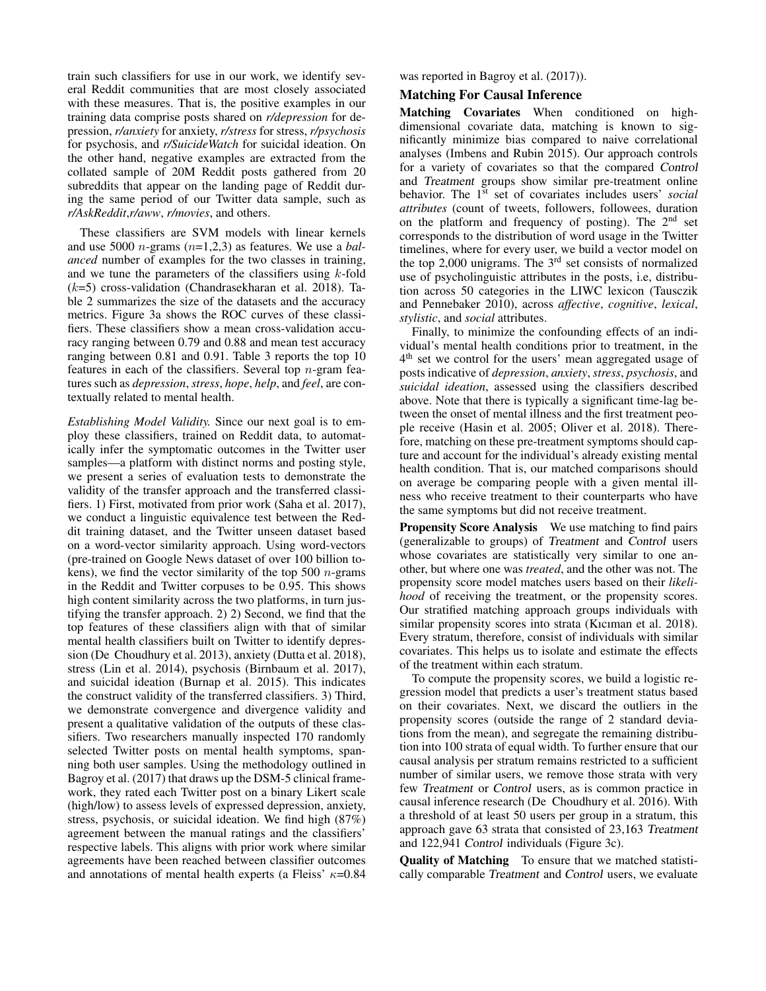train such classifiers for use in our work, we identify several Reddit communities that are most closely associated with these measures. That is, the positive examples in our training data comprise posts shared on *r/depression* for depression, *r/anxiety* for anxiety, *r/stress* for stress, *r/psychosis* for psychosis, and *r/SuicideWatch* for suicidal ideation. On the other hand, negative examples are extracted from the collated sample of 20M Reddit posts gathered from 20 subreddits that appear on the landing page of Reddit during the same period of our Twitter data sample, such as *r/AskReddit*,*r/aww*, *r/movies*, and others.

These classifiers are SVM models with linear kernels and use 5000 n-grams (n=1,2,3) as features. We use a *balanced* number of examples for the two classes in training, and we tune the parameters of the classifiers using  $k$ -fold  $(k=5)$  cross-validation (Chandrasekharan et al. 2018). Table 2 summarizes the size of the datasets and the accuracy metrics. Figure 3a shows the ROC curves of these classifiers. These classifiers show a mean cross-validation accuracy ranging between 0.79 and 0.88 and mean test accuracy ranging between 0.81 and 0.91. Table 3 reports the top 10 features in each of the classifiers. Several top  $n$ -gram features such as *depression*, *stress*, *hope*, *help*, and *feel*, are contextually related to mental health.

*Establishing Model Validity.* Since our next goal is to employ these classifiers, trained on Reddit data, to automatically infer the symptomatic outcomes in the Twitter user samples—a platform with distinct norms and posting style, we present a series of evaluation tests to demonstrate the validity of the transfer approach and the transferred classifiers. 1) First, motivated from prior work (Saha et al. 2017), we conduct a linguistic equivalence test between the Reddit training dataset, and the Twitter unseen dataset based on a word-vector similarity approach. Using word-vectors (pre-trained on Google News dataset of over 100 billion tokens), we find the vector similarity of the top 500  $n$ -grams in the Reddit and Twitter corpuses to be 0.95. This shows high content similarity across the two platforms, in turn justifying the transfer approach. 2) 2) Second, we find that the top features of these classifiers align with that of similar mental health classifiers built on Twitter to identify depression (De Choudhury et al. 2013), anxiety (Dutta et al. 2018), stress (Lin et al. 2014), psychosis (Birnbaum et al. 2017), and suicidal ideation (Burnap et al. 2015). This indicates the construct validity of the transferred classifiers. 3) Third, we demonstrate convergence and divergence validity and present a qualitative validation of the outputs of these classifiers. Two researchers manually inspected 170 randomly selected Twitter posts on mental health symptoms, spanning both user samples. Using the methodology outlined in Bagroy et al. (2017) that draws up the DSM-5 clinical framework, they rated each Twitter post on a binary Likert scale (high/low) to assess levels of expressed depression, anxiety, stress, psychosis, or suicidal ideation. We find high (87%) agreement between the manual ratings and the classifiers' respective labels. This aligns with prior work where similar agreements have been reached between classifier outcomes and annotations of mental health experts (a Fleiss'  $\kappa$ =0.84 was reported in Bagroy et al. (2017)).

#### Matching For Causal Inference

Matching Covariates When conditioned on highdimensional covariate data, matching is known to significantly minimize bias compared to naive correlational analyses (Imbens and Rubin 2015). Our approach controls for a variety of covariates so that the compared Control and Treatment groups show similar pre-treatment online behavior. The 1<sup>st</sup> set of covariates includes users' *social attributes* (count of tweets, followers, followees, duration on the platform and frequency of posting). The  $2<sup>nd</sup>$  set corresponds to the distribution of word usage in the Twitter timelines, where for every user, we build a vector model on the top  $2,000$  unigrams. The  $3<sup>rd</sup>$  set consists of normalized use of psycholinguistic attributes in the posts, i.e, distribution across 50 categories in the LIWC lexicon (Tausczik and Pennebaker 2010), across *affective*, *cognitive*, *lexical*, *stylistic*, and *social* attributes.

Finally, to minimize the confounding effects of an individual's mental health conditions prior to treatment, in the 4<sup>th</sup> set we control for the users' mean aggregated usage of posts indicative of *depression*, *anxiety*, *stress*, *psychosis*, and *suicidal ideation*, assessed using the classifiers described above. Note that there is typically a significant time-lag between the onset of mental illness and the first treatment people receive (Hasin et al. 2005; Oliver et al. 2018). Therefore, matching on these pre-treatment symptoms should capture and account for the individual's already existing mental health condition. That is, our matched comparisons should on average be comparing people with a given mental illness who receive treatment to their counterparts who have the same symptoms but did not receive treatment.

Propensity Score Analysis We use matching to find pairs (generalizable to groups) of Treatment and Control users whose covariates are statistically very similar to one another, but where one was *treated*, and the other was not. The propensity score model matches users based on their *likelihood* of receiving the treatment, or the propensity scores. Our stratified matching approach groups individuals with similar propensity scores into strata (Kıcıman et al. 2018). Every stratum, therefore, consist of individuals with similar covariates. This helps us to isolate and estimate the effects of the treatment within each stratum.

To compute the propensity scores, we build a logistic regression model that predicts a user's treatment status based on their covariates. Next, we discard the outliers in the propensity scores (outside the range of 2 standard deviations from the mean), and segregate the remaining distribution into 100 strata of equal width. To further ensure that our causal analysis per stratum remains restricted to a sufficient number of similar users, we remove those strata with very few Treatment or Control users, as is common practice in causal inference research (De Choudhury et al. 2016). With a threshold of at least 50 users per group in a stratum, this approach gave 63 strata that consisted of 23,163 Treatment and 122,941 Control individuals (Figure 3c).

Quality of Matching To ensure that we matched statistically comparable Treatment and Control users, we evaluate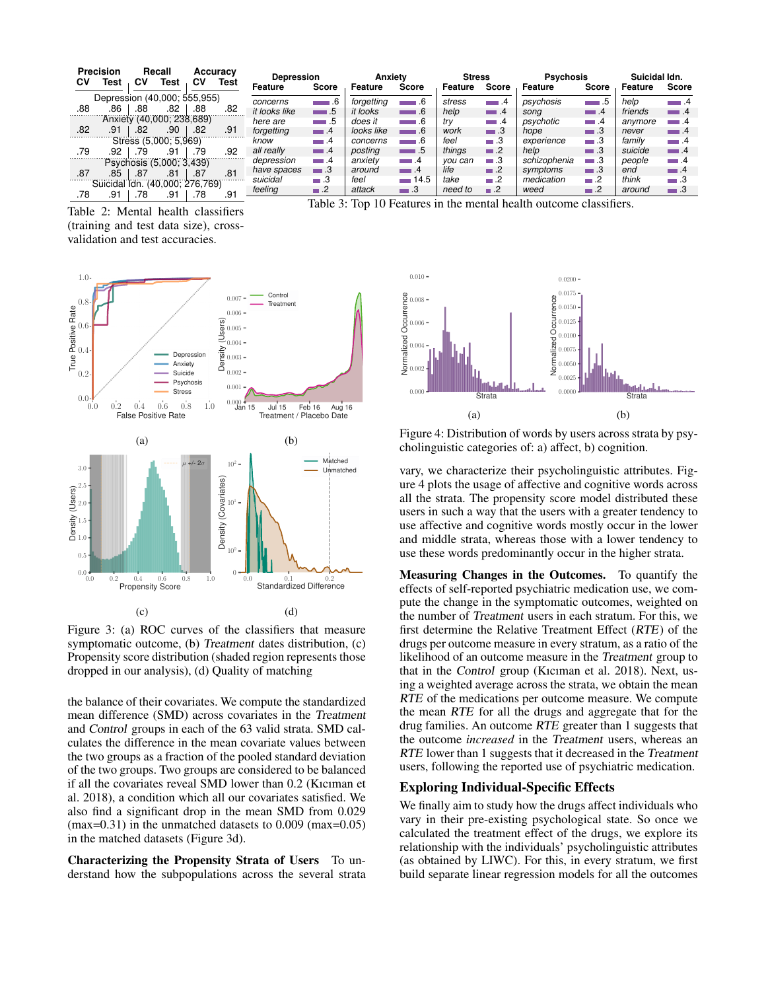| <b>CV</b>                    | <b>Precision</b><br>Test        | <b>CV</b> | Recall<br>Test            | C٧           | Accuracy<br><b>Test</b>     | <b>Depression</b><br>Feature | Score             | Anxiety<br>Feature | Score                       | <b>Stress</b><br>Feature | Score             | <b>Psychosis</b><br>Feature                                        | Score             | Suicidal Idn.<br>Feature | <b>Score</b>      |
|------------------------------|---------------------------------|-----------|---------------------------|--------------|-----------------------------|------------------------------|-------------------|--------------------|-----------------------------|--------------------------|-------------------|--------------------------------------------------------------------|-------------------|--------------------------|-------------------|
| Depression (40,000; 555,955) |                                 |           |                           | concerns     | $\overline{\phantom{0}}$ .6 | forgetting                   | $-6$              | stress             | $-1.4$                      | psychosis                | $\blacksquare$ .5 | help                                                               | $\blacksquare$ .4 |                          |                   |
| .88                          | 86                              | .88       | .82                       | .88          | .82                         | it looks like                | $\Box$ .5         | it looks           | $\Box$ .6                   | help                     | $\blacksquare$ .4 | sona                                                               | $\blacksquare$ .4 | friends                  | $\blacksquare$ .4 |
|                              |                                 |           | Anxiety (40,000; 238,689) |              |                             | here are                     | $\blacksquare$ .5 | does it            | $\Box$ .6                   | trv                      | $-1.4$            | psychotic                                                          | $\blacksquare$ .4 | anvmore                  | $-1.4$            |
| .82                          | .91                             | .82       | .90                       | .82          | .91                         | forgetting                   | $\blacksquare$ .4 | looks like         | $\overline{\phantom{0}}$ .6 | work                     | $\Box$ 3          | hope                                                               | $\blacksquare$ 3  | never                    | $-1.4$            |
|                              |                                 |           | Stress (5,000; 5,969)     |              |                             | know                         | $-1.4$            | concerns           | ∎.6                         | feel                     | $\Box$ .3         | experience                                                         | $-3$              | family                   | $\blacksquare$ .4 |
| .79                          | .92                             | .79       | .91                       | .79          | .92                         | all really                   | $\blacksquare$ .4 | posting            | $-1.5$                      | things                   | $\blacksquare$ .2 | help                                                               | $\blacksquare$ 3  | suicide                  | $-1.4$            |
|                              |                                 |           | Psychosis (5,000; 3,439)  |              |                             | depression                   | $\blacksquare$ .4 | anxiety            | $\blacksquare$ .4           | vou can                  | $\blacksquare$ .3 | schizophenia                                                       | — З               | people                   | $\blacksquare$ .4 |
| .87                          | .85                             | .87       | .81                       | .87          | .81                         | have spaces                  | $\blacksquare$ 3  | around             | $\Box$ .4                   | life                     | $\blacksquare$ .2 | symptoms                                                           | $\blacksquare$ 3  | end                      | $\blacksquare$ .4 |
|                              | Suicidal Idn. (40,000; 276,769) |           |                           |              |                             | suicidal                     | $\blacksquare$ .3 | feel               | $-14.5$                     | take                     | $\Box$ .2         | medication                                                         | $\blacksquare$ .2 | think                    | $\Box$ .3         |
| .78                          | .91                             | .78       | .91                       | .78          | .91                         | feeling                      | $\blacksquare$ .2 | attack             | $\blacksquare$ .3           | need to                  | $\blacksquare$ .2 | weed                                                               | $\blacksquare$ .2 | around                   | $\blacksquare$ 3  |
|                              |                                 |           |                           | $\mathbf{r}$ | $\cdot$ $\sim$              |                              |                   |                    |                             |                          |                   | Table 3: Top 10 Features in the mental health outcome classifiers. |                   |                          |                   |

Table 2: Mental health classifiers (training and test data size), crossvalidation and test accuracies.



Figure 3: (a) ROC curves of the classifiers that measure symptomatic outcome, (b) Treatment dates distribution, (c) Propensity score distribution (shaded region represents those dropped in our analysis), (d) Quality of matching

the balance of their covariates. We compute the standardized mean difference (SMD) across covariates in the Treatment and Control groups in each of the 63 valid strata. SMD calculates the difference in the mean covariate values between the two groups as a fraction of the pooled standard deviation of the two groups. Two groups are considered to be balanced if all the covariates reveal SMD lower than 0.2 (Kıcıman et al. 2018), a condition which all our covariates satisfied. We also find a significant drop in the mean SMD from 0.029 (max=0.31) in the unmatched datasets to 0.009 (max=0.05) in the matched datasets (Figure 3d).

Characterizing the Propensity Strata of Users To understand how the subpopulations across the several strata



Figure 4: Distribution of words by users across strata by psycholinguistic categories of: a) affect, b) cognition.

vary, we characterize their psycholinguistic attributes. Figure 4 plots the usage of affective and cognitive words across all the strata. The propensity score model distributed these users in such a way that the users with a greater tendency to use affective and cognitive words mostly occur in the lower and middle strata, whereas those with a lower tendency to use these words predominantly occur in the higher strata.

Measuring Changes in the Outcomes. To quantify the effects of self-reported psychiatric medication use, we compute the change in the symptomatic outcomes, weighted on the number of Treatment users in each stratum. For this, we first determine the Relative Treatment Effect (RTE) of the drugs per outcome measure in every stratum, as a ratio of the likelihood of an outcome measure in the Treatment group to that in the Control group (Kıcıman et al. 2018). Next, using a weighted average across the strata, we obtain the mean RTE of the medications per outcome measure. We compute the mean RTE for all the drugs and aggregate that for the drug families. An outcome RTE greater than 1 suggests that the outcome *increased* in the Treatment users, whereas an RTE lower than 1 suggests that it decreased in the Treatment users, following the reported use of psychiatric medication.

## Exploring Individual-Specific Effects

We finally aim to study how the drugs affect individuals who vary in their pre-existing psychological state. So once we calculated the treatment effect of the drugs, we explore its relationship with the individuals' psycholinguistic attributes (as obtained by LIWC). For this, in every stratum, we first build separate linear regression models for all the outcomes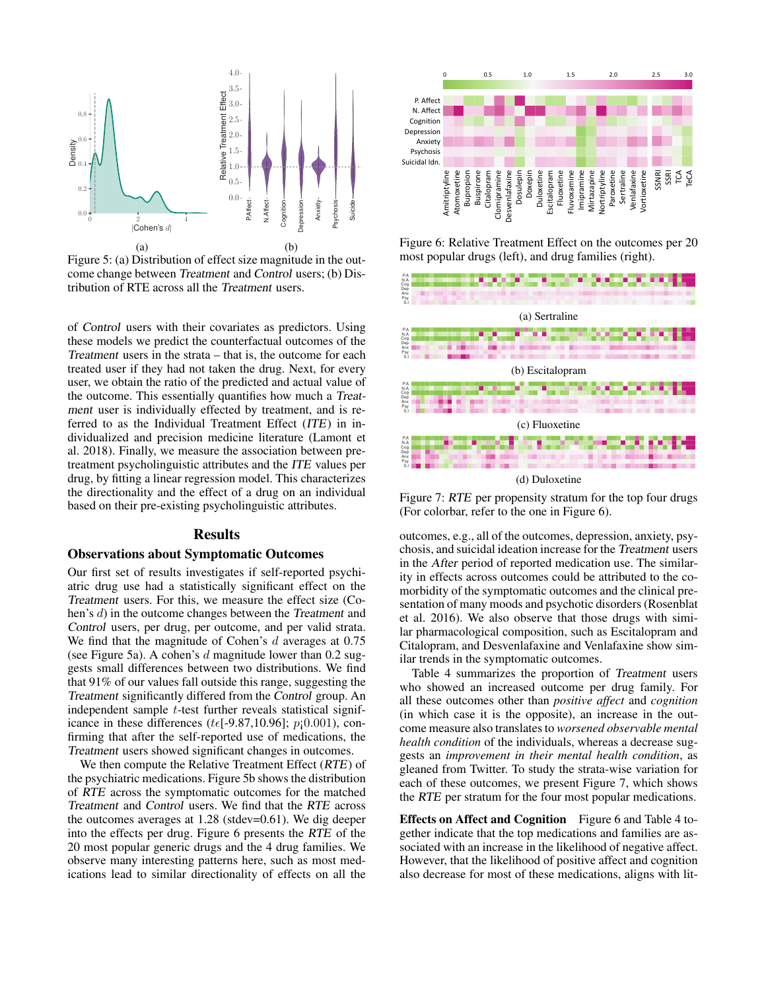

Figure 5: (a) Distribution of effect size magnitude in the outcome change between Treatment and Control users; (b) Distribution of RTE across all the Treatment users.

of Control users with their covariates as predictors. Using these models we predict the counterfactual outcomes of the Treatment users in the strata – that is, the outcome for each treated user if they had not taken the drug. Next, for every user, we obtain the ratio of the predicted and actual value of the outcome. This essentially quantifies how much a Treatment user is individually effected by treatment, and is referred to as the Individual Treatment Effect (ITE) in individualized and precision medicine literature (Lamont et al. 2018). Finally, we measure the association between pretreatment psycholinguistic attributes and the ITE values per drug, by fitting a linear regression model. This characterizes the directionality and the effect of a drug on an individual based on their pre-existing psycholinguistic attributes. **Example the directions of the similar directions of effect size may be a simple to similar the Amitripes of Control of the Control of the Amittain of the Amitriphe Control of the Control of the Control of the Control of** 

### Results

#### Observations about Symptomatic Outcomes

Our first set of results investigates if self-reported psychiatric drug use had a statistically significant effect on the Treatment users. For this, we measure the effect size (Cohen's d) in the outcome changes between the Treatment and Control users, per drug, per outcome, and per valid strata. We find that the magnitude of Cohen's d averages at 0.75 (see Figure 5a). A cohen's  $d$  magnitude lower than 0.2 suggests small differences between two distributions. We find that 91% of our values fall outside this range, suggesting the Treatment significantly differed from the Control group. An independent sample t-test further reveals statistical significance in these differences ( $t \in [-9.87, 10.96]$ ;  $p_1(0.001)$ , confirming that after the self-reported use of medications, the Treatment users showed significant changes in outcomes.

We then compute the Relative Treatment Effect (RTE) of the psychiatric medications. Figure 5b shows the distribution of RTE across the symptomatic outcomes for the matched Treatment and Control users. We find that the RTE across the outcomes averages at 1.28 (stdev=0.61). We dig deeper into the effects per drug. Figure 6 presents the RTE of the 20 most popular generic drugs and the 4 drug families. We observe many interesting patterns here, such as most med-



Figure 6: Relative Treatment Effect on the outcomes per 20 most popular drugs (left), and drug families (right).



Figure 7: RTE per propensity stratum for the top four drugs (For colorbar, refer to the one in Figure 6).

outcomes, e.g., all of the outcomes, depression, anxiety, psychosis, and suicidal ideation increase for the Treatment users in the After period of reported medication use. The similarity in effects across outcomes could be attributed to the comorbidity of the symptomatic outcomes and the clinical presentation of many moods and psychotic disorders (Rosenblat et al. 2016). We also observe that those drugs with similar pharmacological composition, such as Escitalopram and Citalopram, and Desvenlafaxine and Venlafaxine show similar trends in the symptomatic outcomes.

Table 4 summarizes the proportion of Treatment users who showed an increased outcome per drug family. For all these outcomes other than *positive affect* and *cognition* (in which case it is the opposite), an increase in the outcome measure also translates to *worsened observable mental health condition* of the individuals, whereas a decrease suggests an *improvement in their mental health condition*, as gleaned from Twitter. To study the strata-wise variation for each of these outcomes, we present Figure 7, which shows the RTE per stratum for the four most popular medications.

Effects on Affect and Cognition Figure 6 and Table 4 together indicate that the top medications and families are associated with an increase in the likelihood of negative affect. However, that the likelihood of positive affect and cognition also decrease for most of these medications, aligns with lit-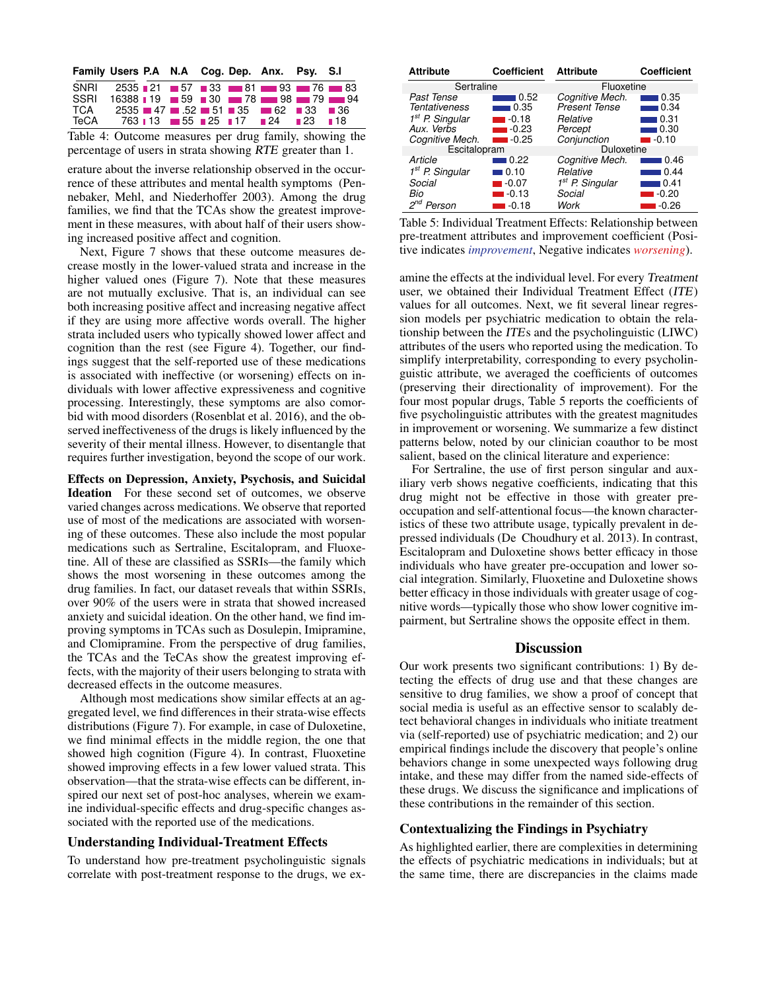| Family Users P.A N.A Cog. Dep. Anx. Psy. S.I |  |  |                                                                                                                                      |  |
|----------------------------------------------|--|--|--------------------------------------------------------------------------------------------------------------------------------------|--|
| SNRI                                         |  |  | $2535$ $\blacksquare$ 21 $\blacksquare$ 57 $\blacksquare$ 33 $\blacksquare$ 81 $\blacksquare$ 93 $\blacksquare$ 76 $\blacksquare$ 83 |  |
| SSRI                                         |  |  | 16388 19 59 30 78 98 79 79 94                                                                                                        |  |
| TCA                                          |  |  | $2535 = 47$ $- 0.52 = 51$ $- 35$ $- 62$ $- 33$ $- 36$                                                                                |  |
| TeCA                                         |  |  | 763 113 55 25 17 24 23 18                                                                                                            |  |
|                                              |  |  |                                                                                                                                      |  |

Table 4: Outcome measures per drug family, showing the percentage of users in strata showing RTE greater than 1.

erature about the inverse relationship observed in the occurrence of these attributes and mental health symptoms (Pennebaker, Mehl, and Niederhoffer 2003). Among the drug families, we find that the TCAs show the greatest improvement in these measures, with about half of their users showing increased positive affect and cognition.

Next, Figure 7 shows that these outcome measures decrease mostly in the lower-valued strata and increase in the higher valued ones (Figure 7). Note that these measures are not mutually exclusive. That is, an individual can see both increasing positive affect and increasing negative affect if they are using more affective words overall. The higher strata included users who typically showed lower affect and cognition than the rest (see Figure 4). Together, our findings suggest that the self-reported use of these medications is associated with ineffective (or worsening) effects on individuals with lower affective expressiveness and cognitive processing. Interestingly, these symptoms are also comorbid with mood disorders (Rosenblat et al. 2016), and the observed ineffectiveness of the drugs is likely influenced by the severity of their mental illness. However, to disentangle that requires further investigation, beyond the scope of our work.

Effects on Depression, Anxiety, Psychosis, and Suicidal Ideation For these second set of outcomes, we observe varied changes across medications. We observe that reported use of most of the medications are associated with worsening of these outcomes. These also include the most popular medications such as Sertraline, Escitalopram, and Fluoxetine. All of these are classified as SSRIs—the family which shows the most worsening in these outcomes among the drug families. In fact, our dataset reveals that within SSRIs, over 90% of the users were in strata that showed increased anxiety and suicidal ideation. On the other hand, we find improving symptoms in TCAs such as Dosulepin, Imipramine, and Clomipramine. From the perspective of drug families, the TCAs and the TeCAs show the greatest improving effects, with the majority of their users belonging to strata with decreased effects in the outcome measures.

Although most medications show similar effects at an aggregated level, we find differences in their strata-wise effects distributions (Figure 7). For example, in case of Duloxetine, we find minimal effects in the middle region, the one that showed high cognition (Figure 4). In contrast, Fluoxetine showed improving effects in a few lower valued strata. This observation—that the strata-wise effects can be different, inspired our next set of post-hoc analyses, wherein we examine individual-specific effects and drug-specific changes associated with the reported use of the medications.

### Understanding Individual-Treatment Effects

To understand how pre-treatment psycholinguistic signals correlate with post-treatment response to the drugs, we ex-

| <b>Attribute</b>            | <b>Coefficient</b>   | <b>Attribute</b>     | <b>Coefficient</b> |  |  |  |
|-----------------------------|----------------------|----------------------|--------------------|--|--|--|
| Sertraline                  |                      | Fluoxetine           |                    |  |  |  |
| Past Tense                  | 0.52                 | Cognitive Mech.      | 0.35               |  |  |  |
| Tentativeness               | 0.35                 | <b>Present Tense</b> | 0.34               |  |  |  |
| 1 <sup>st</sup> P. Singular | $\blacksquare$ -0.18 | Relative             | 0.31               |  |  |  |
| Aux. Verbs                  | $-0.23$              | Percept              | 0.30 ا             |  |  |  |
| Cognitive Mech.             | $-0.25$              | Conjunction          | ∎-0.10             |  |  |  |
| Escitalopram                |                      | Duloxetine           |                    |  |  |  |
| Article                     | 0.22                 | Cognitive Mech.      | 0.46               |  |  |  |
| $1st$ P. Singular           | ∣0.10                | Relative             | 0.44               |  |  |  |
| Social                      | $-0.07$              | $1st$ P. Singular    | 0.41               |  |  |  |
| Bio                         | $-0.13$              | Social               | $-0.20$            |  |  |  |
| Person                      | $-0.18$              | Work                 | $-0.26$            |  |  |  |

Table 5: Individual Treatment Effects: Relationship between pre-treatment attributes and improvement coefficient (Positive indicates *improvement*, Negative indicates *worsening*).

amine the effects at the individual level. For every Treatment user, we obtained their Individual Treatment Effect (ITE) values for all outcomes. Next, we fit several linear regression models per psychiatric medication to obtain the relationship between the ITEs and the psycholinguistic (LIWC) attributes of the users who reported using the medication. To simplify interpretability, corresponding to every psycholinguistic attribute, we averaged the coefficients of outcomes (preserving their directionality of improvement). For the four most popular drugs, Table 5 reports the coefficients of five psycholinguistic attributes with the greatest magnitudes in improvement or worsening. We summarize a few distinct patterns below, noted by our clinician coauthor to be most salient, based on the clinical literature and experience:

For Sertraline, the use of first person singular and auxiliary verb shows negative coefficients, indicating that this drug might not be effective in those with greater preoccupation and self-attentional focus—the known characteristics of these two attribute usage, typically prevalent in depressed individuals (De Choudhury et al. 2013). In contrast, Escitalopram and Duloxetine shows better efficacy in those individuals who have greater pre-occupation and lower social integration. Similarly, Fluoxetine and Duloxetine shows better efficacy in those individuals with greater usage of cognitive words—typically those who show lower cognitive impairment, but Sertraline shows the opposite effect in them.

### **Discussion**

Our work presents two significant contributions: 1) By detecting the effects of drug use and that these changes are sensitive to drug families, we show a proof of concept that social media is useful as an effective sensor to scalably detect behavioral changes in individuals who initiate treatment via (self-reported) use of psychiatric medication; and 2) our empirical findings include the discovery that people's online behaviors change in some unexpected ways following drug intake, and these may differ from the named side-effects of these drugs. We discuss the significance and implications of these contributions in the remainder of this section.

#### Contextualizing the Findings in Psychiatry

As highlighted earlier, there are complexities in determining the effects of psychiatric medications in individuals; but at the same time, there are discrepancies in the claims made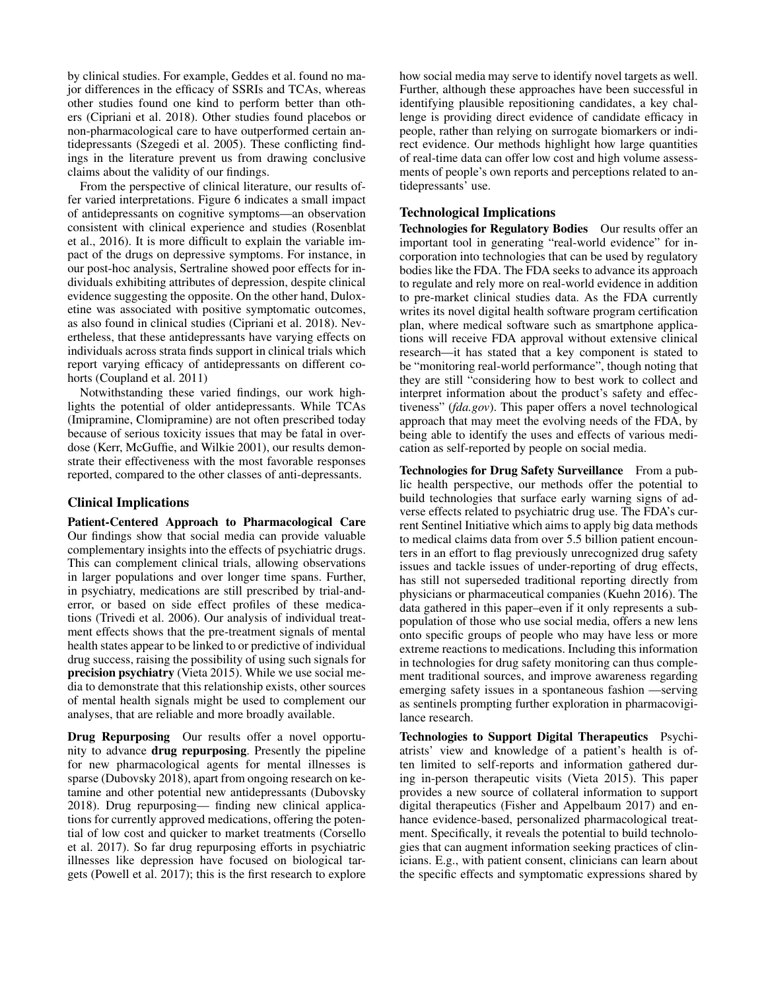by clinical studies. For example, Geddes et al. found no major differences in the efficacy of SSRIs and TCAs, whereas other studies found one kind to perform better than others (Cipriani et al. 2018). Other studies found placebos or non-pharmacological care to have outperformed certain antidepressants (Szegedi et al. 2005). These conflicting findings in the literature prevent us from drawing conclusive claims about the validity of our findings.

From the perspective of clinical literature, our results offer varied interpretations. Figure 6 indicates a small impact of antidepressants on cognitive symptoms—an observation consistent with clinical experience and studies (Rosenblat et al., 2016). It is more difficult to explain the variable impact of the drugs on depressive symptoms. For instance, in our post-hoc analysis, Sertraline showed poor effects for individuals exhibiting attributes of depression, despite clinical evidence suggesting the opposite. On the other hand, Duloxetine was associated with positive symptomatic outcomes, as also found in clinical studies (Cipriani et al. 2018). Nevertheless, that these antidepressants have varying effects on individuals across strata finds support in clinical trials which report varying efficacy of antidepressants on different cohorts (Coupland et al. 2011)

Notwithstanding these varied findings, our work highlights the potential of older antidepressants. While TCAs (Imipramine, Clomipramine) are not often prescribed today because of serious toxicity issues that may be fatal in overdose (Kerr, McGuffie, and Wilkie 2001), our results demonstrate their effectiveness with the most favorable responses reported, compared to the other classes of anti-depressants.

## Clinical Implications

Patient-Centered Approach to Pharmacological Care Our findings show that social media can provide valuable complementary insights into the effects of psychiatric drugs. This can complement clinical trials, allowing observations in larger populations and over longer time spans. Further, in psychiatry, medications are still prescribed by trial-anderror, or based on side effect profiles of these medications (Trivedi et al. 2006). Our analysis of individual treatment effects shows that the pre-treatment signals of mental health states appear to be linked to or predictive of individual drug success, raising the possibility of using such signals for precision psychiatry (Vieta 2015). While we use social media to demonstrate that this relationship exists, other sources of mental health signals might be used to complement our analyses, that are reliable and more broadly available.

Drug Repurposing Our results offer a novel opportunity to advance drug repurposing. Presently the pipeline for new pharmacological agents for mental illnesses is sparse (Dubovsky 2018), apart from ongoing research on ketamine and other potential new antidepressants (Dubovsky 2018). Drug repurposing— finding new clinical applications for currently approved medications, offering the potential of low cost and quicker to market treatments (Corsello et al. 2017). So far drug repurposing efforts in psychiatric illnesses like depression have focused on biological targets (Powell et al. 2017); this is the first research to explore how social media may serve to identify novel targets as well. Further, although these approaches have been successful in identifying plausible repositioning candidates, a key challenge is providing direct evidence of candidate efficacy in people, rather than relying on surrogate biomarkers or indirect evidence. Our methods highlight how large quantities of real-time data can offer low cost and high volume assessments of people's own reports and perceptions related to antidepressants' use.

## Technological Implications

Technologies for Regulatory Bodies Our results offer an important tool in generating "real-world evidence" for incorporation into technologies that can be used by regulatory bodies like the FDA. The FDA seeks to advance its approach to regulate and rely more on real-world evidence in addition to pre-market clinical studies data. As the FDA currently writes its novel digital health software program certification plan, where medical software such as smartphone applications will receive FDA approval without extensive clinical research—it has stated that a key component is stated to be "monitoring real-world performance", though noting that they are still "considering how to best work to collect and interpret information about the product's safety and effectiveness" (*fda.gov*). This paper offers a novel technological approach that may meet the evolving needs of the FDA, by being able to identify the uses and effects of various medication as self-reported by people on social media.

Technologies for Drug Safety Surveillance From a public health perspective, our methods offer the potential to build technologies that surface early warning signs of adverse effects related to psychiatric drug use. The FDA's current Sentinel Initiative which aims to apply big data methods to medical claims data from over 5.5 billion patient encounters in an effort to flag previously unrecognized drug safety issues and tackle issues of under-reporting of drug effects, has still not superseded traditional reporting directly from physicians or pharmaceutical companies (Kuehn 2016). The data gathered in this paper–even if it only represents a subpopulation of those who use social media, offers a new lens onto specific groups of people who may have less or more extreme reactions to medications. Including this information in technologies for drug safety monitoring can thus complement traditional sources, and improve awareness regarding emerging safety issues in a spontaneous fashion —serving as sentinels prompting further exploration in pharmacovigilance research.

Technologies to Support Digital Therapeutics Psychiatrists' view and knowledge of a patient's health is often limited to self-reports and information gathered during in-person therapeutic visits (Vieta 2015). This paper provides a new source of collateral information to support digital therapeutics (Fisher and Appelbaum 2017) and enhance evidence-based, personalized pharmacological treatment. Specifically, it reveals the potential to build technologies that can augment information seeking practices of clinicians. E.g., with patient consent, clinicians can learn about the specific effects and symptomatic expressions shared by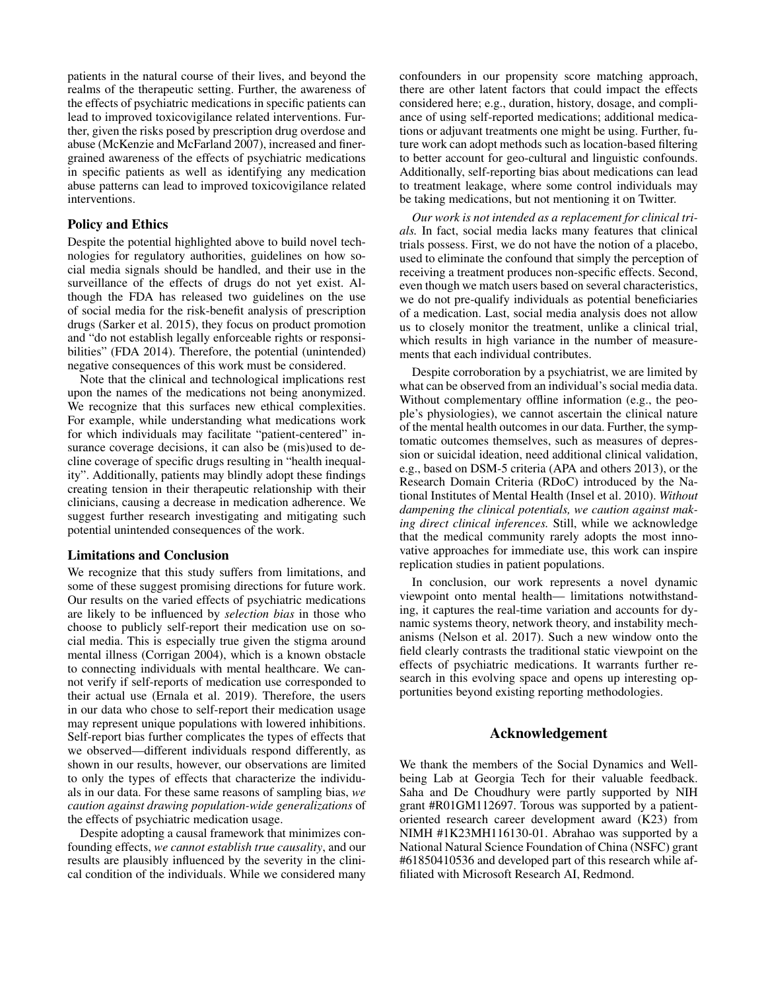patients in the natural course of their lives, and beyond the realms of the therapeutic setting. Further, the awareness of the effects of psychiatric medications in specific patients can lead to improved toxicovigilance related interventions. Further, given the risks posed by prescription drug overdose and abuse (McKenzie and McFarland 2007), increased and finergrained awareness of the effects of psychiatric medications in specific patients as well as identifying any medication abuse patterns can lead to improved toxicovigilance related interventions.

## Policy and Ethics

Despite the potential highlighted above to build novel technologies for regulatory authorities, guidelines on how social media signals should be handled, and their use in the surveillance of the effects of drugs do not yet exist. Although the FDA has released two guidelines on the use of social media for the risk-benefit analysis of prescription drugs (Sarker et al. 2015), they focus on product promotion and "do not establish legally enforceable rights or responsibilities" (FDA 2014). Therefore, the potential (unintended) negative consequences of this work must be considered.

Note that the clinical and technological implications rest upon the names of the medications not being anonymized. We recognize that this surfaces new ethical complexities. For example, while understanding what medications work for which individuals may facilitate "patient-centered" insurance coverage decisions, it can also be (mis)used to decline coverage of specific drugs resulting in "health inequality". Additionally, patients may blindly adopt these findings creating tension in their therapeutic relationship with their clinicians, causing a decrease in medication adherence. We suggest further research investigating and mitigating such potential unintended consequences of the work.

## Limitations and Conclusion

We recognize that this study suffers from limitations, and some of these suggest promising directions for future work. Our results on the varied effects of psychiatric medications are likely to be influenced by *selection bias* in those who choose to publicly self-report their medication use on social media. This is especially true given the stigma around mental illness (Corrigan 2004), which is a known obstacle to connecting individuals with mental healthcare. We cannot verify if self-reports of medication use corresponded to their actual use (Ernala et al. 2019). Therefore, the users in our data who chose to self-report their medication usage may represent unique populations with lowered inhibitions. Self-report bias further complicates the types of effects that we observed—different individuals respond differently, as shown in our results, however, our observations are limited to only the types of effects that characterize the individuals in our data. For these same reasons of sampling bias, *we caution against drawing population-wide generalizations* of the effects of psychiatric medication usage.

Despite adopting a causal framework that minimizes confounding effects, *we cannot establish true causality*, and our results are plausibly influenced by the severity in the clinical condition of the individuals. While we considered many

confounders in our propensity score matching approach, there are other latent factors that could impact the effects considered here; e.g., duration, history, dosage, and compliance of using self-reported medications; additional medications or adjuvant treatments one might be using. Further, future work can adopt methods such as location-based filtering to better account for geo-cultural and linguistic confounds. Additionally, self-reporting bias about medications can lead to treatment leakage, where some control individuals may be taking medications, but not mentioning it on Twitter.

*Our work is not intended as a replacement for clinical trials.* In fact, social media lacks many features that clinical trials possess. First, we do not have the notion of a placebo, used to eliminate the confound that simply the perception of receiving a treatment produces non-specific effects. Second, even though we match users based on several characteristics, we do not pre-qualify individuals as potential beneficiaries of a medication. Last, social media analysis does not allow us to closely monitor the treatment, unlike a clinical trial, which results in high variance in the number of measurements that each individual contributes.

Despite corroboration by a psychiatrist, we are limited by what can be observed from an individual's social media data. Without complementary offline information (e.g., the people's physiologies), we cannot ascertain the clinical nature of the mental health outcomes in our data. Further, the symptomatic outcomes themselves, such as measures of depression or suicidal ideation, need additional clinical validation, e.g., based on DSM-5 criteria (APA and others 2013), or the Research Domain Criteria (RDoC) introduced by the National Institutes of Mental Health (Insel et al. 2010). *Without dampening the clinical potentials, we caution against making direct clinical inferences.* Still, while we acknowledge that the medical community rarely adopts the most innovative approaches for immediate use, this work can inspire replication studies in patient populations.

In conclusion, our work represents a novel dynamic viewpoint onto mental health— limitations notwithstanding, it captures the real-time variation and accounts for dynamic systems theory, network theory, and instability mechanisms (Nelson et al. 2017). Such a new window onto the field clearly contrasts the traditional static viewpoint on the effects of psychiatric medications. It warrants further research in this evolving space and opens up interesting opportunities beyond existing reporting methodologies.

## Acknowledgement

We thank the members of the Social Dynamics and Wellbeing Lab at Georgia Tech for their valuable feedback. Saha and De Choudhury were partly supported by NIH grant #R01GM112697. Torous was supported by a patientoriented research career development award (K23) from NIMH #1K23MH116130-01. Abrahao was supported by a National Natural Science Foundation of China (NSFC) grant #61850410536 and developed part of this research while affiliated with Microsoft Research AI, Redmond.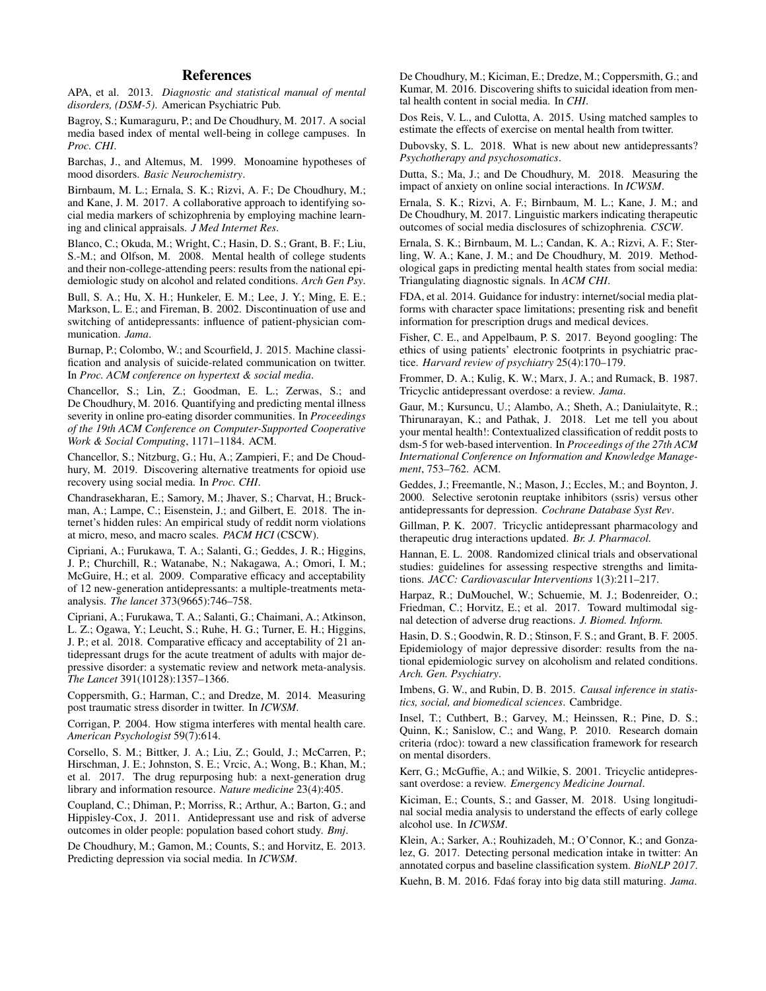## References

APA, et al. 2013. *Diagnostic and statistical manual of mental disorders, (DSM-5)*. American Psychiatric Pub.

Bagroy, S.; Kumaraguru, P.; and De Choudhury, M. 2017. A social media based index of mental well-being in college campuses. In *Proc. CHI*.

Barchas, J., and Altemus, M. 1999. Monoamine hypotheses of mood disorders. *Basic Neurochemistry*.

Birnbaum, M. L.; Ernala, S. K.; Rizvi, A. F.; De Choudhury, M.; and Kane, J. M. 2017. A collaborative approach to identifying social media markers of schizophrenia by employing machine learning and clinical appraisals. *J Med Internet Res*.

Blanco, C.; Okuda, M.; Wright, C.; Hasin, D. S.; Grant, B. F.; Liu, S.-M.; and Olfson, M. 2008. Mental health of college students and their non-college-attending peers: results from the national epidemiologic study on alcohol and related conditions. *Arch Gen Psy*.

Bull, S. A.; Hu, X. H.; Hunkeler, E. M.; Lee, J. Y.; Ming, E. E.; Markson, L. E.; and Fireman, B. 2002. Discontinuation of use and switching of antidepressants: influence of patient-physician communication. *Jama*.

Burnap, P.; Colombo, W.; and Scourfield, J. 2015. Machine classification and analysis of suicide-related communication on twitter. In *Proc. ACM conference on hypertext & social media*.

Chancellor, S.; Lin, Z.; Goodman, E. L.; Zerwas, S.; and De Choudhury, M. 2016. Quantifying and predicting mental illness severity in online pro-eating disorder communities. In *Proceedings of the 19th ACM Conference on Computer-Supported Cooperative Work & Social Computing*, 1171–1184. ACM.

Chancellor, S.; Nitzburg, G.; Hu, A.; Zampieri, F.; and De Choudhury, M. 2019. Discovering alternative treatments for opioid use recovery using social media. In *Proc. CHI*.

Chandrasekharan, E.; Samory, M.; Jhaver, S.; Charvat, H.; Bruckman, A.; Lampe, C.; Eisenstein, J.; and Gilbert, E. 2018. The internet's hidden rules: An empirical study of reddit norm violations at micro, meso, and macro scales. *PACM HCI* (CSCW).

Cipriani, A.; Furukawa, T. A.; Salanti, G.; Geddes, J. R.; Higgins, J. P.; Churchill, R.; Watanabe, N.; Nakagawa, A.; Omori, I. M.; McGuire, H.; et al. 2009. Comparative efficacy and acceptability of 12 new-generation antidepressants: a multiple-treatments metaanalysis. *The lancet* 373(9665):746–758.

Cipriani, A.; Furukawa, T. A.; Salanti, G.; Chaimani, A.; Atkinson, L. Z.; Ogawa, Y.; Leucht, S.; Ruhe, H. G.; Turner, E. H.; Higgins, J. P.; et al. 2018. Comparative efficacy and acceptability of 21 antidepressant drugs for the acute treatment of adults with major depressive disorder: a systematic review and network meta-analysis. *The Lancet* 391(10128):1357–1366.

Coppersmith, G.; Harman, C.; and Dredze, M. 2014. Measuring post traumatic stress disorder in twitter. In *ICWSM*.

Corrigan, P. 2004. How stigma interferes with mental health care. *American Psychologist* 59(7):614.

Corsello, S. M.; Bittker, J. A.; Liu, Z.; Gould, J.; McCarren, P.; Hirschman, J. E.; Johnston, S. E.; Vrcic, A.; Wong, B.; Khan, M.; et al. 2017. The drug repurposing hub: a next-generation drug library and information resource. *Nature medicine* 23(4):405.

Coupland, C.; Dhiman, P.; Morriss, R.; Arthur, A.; Barton, G.; and Hippisley-Cox, J. 2011. Antidepressant use and risk of adverse outcomes in older people: population based cohort study. *Bmj*.

De Choudhury, M.; Gamon, M.; Counts, S.; and Horvitz, E. 2013. Predicting depression via social media. In *ICWSM*.

De Choudhury, M.; Kiciman, E.; Dredze, M.; Coppersmith, G.; and Kumar, M. 2016. Discovering shifts to suicidal ideation from mental health content in social media. In *CHI*.

Dos Reis, V. L., and Culotta, A. 2015. Using matched samples to estimate the effects of exercise on mental health from twitter.

Dubovsky, S. L. 2018. What is new about new antidepressants? *Psychotherapy and psychosomatics*.

Dutta, S.; Ma, J.; and De Choudhury, M. 2018. Measuring the impact of anxiety on online social interactions. In *ICWSM*.

Ernala, S. K.; Rizvi, A. F.; Birnbaum, M. L.; Kane, J. M.; and De Choudhury, M. 2017. Linguistic markers indicating therapeutic outcomes of social media disclosures of schizophrenia. *CSCW*.

Ernala, S. K.; Birnbaum, M. L.; Candan, K. A.; Rizvi, A. F.; Sterling, W. A.; Kane, J. M.; and De Choudhury, M. 2019. Methodological gaps in predicting mental health states from social media: Triangulating diagnostic signals. In *ACM CHI*.

FDA, et al. 2014. Guidance for industry: internet/social media platforms with character space limitations; presenting risk and benefit information for prescription drugs and medical devices.

Fisher, C. E., and Appelbaum, P. S. 2017. Beyond googling: The ethics of using patients' electronic footprints in psychiatric practice. *Harvard review of psychiatry* 25(4):170–179.

Frommer, D. A.; Kulig, K. W.; Marx, J. A.; and Rumack, B. 1987. Tricyclic antidepressant overdose: a review. *Jama*.

Gaur, M.; Kursuncu, U.; Alambo, A.; Sheth, A.; Daniulaityte, R.; Thirunarayan, K.; and Pathak, J. 2018. Let me tell you about your mental health!: Contextualized classification of reddit posts to dsm-5 for web-based intervention. In *Proceedings of the 27th ACM International Conference on Information and Knowledge Management*, 753–762. ACM.

Geddes, J.; Freemantle, N.; Mason, J.; Eccles, M.; and Boynton, J. 2000. Selective serotonin reuptake inhibitors (ssris) versus other antidepressants for depression. *Cochrane Database Syst Rev*.

Gillman, P. K. 2007. Tricyclic antidepressant pharmacology and therapeutic drug interactions updated. *Br. J. Pharmacol.*

Hannan, E. L. 2008. Randomized clinical trials and observational studies: guidelines for assessing respective strengths and limitations. *JACC: Cardiovascular Interventions* 1(3):211–217.

Harpaz, R.; DuMouchel, W.; Schuemie, M. J.; Bodenreider, O.; Friedman, C.; Horvitz, E.; et al. 2017. Toward multimodal signal detection of adverse drug reactions. *J. Biomed. Inform.*

Hasin, D. S.; Goodwin, R. D.; Stinson, F. S.; and Grant, B. F. 2005. Epidemiology of major depressive disorder: results from the national epidemiologic survey on alcoholism and related conditions. *Arch. Gen. Psychiatry*.

Imbens, G. W., and Rubin, D. B. 2015. *Causal inference in statistics, social, and biomedical sciences*. Cambridge.

Insel, T.; Cuthbert, B.; Garvey, M.; Heinssen, R.; Pine, D. S.; Quinn, K.; Sanislow, C.; and Wang, P. 2010. Research domain criteria (rdoc): toward a new classification framework for research on mental disorders.

Kerr, G.; McGuffie, A.; and Wilkie, S. 2001. Tricyclic antidepressant overdose: a review. *Emergency Medicine Journal*.

Kiciman, E.; Counts, S.; and Gasser, M. 2018. Using longitudinal social media analysis to understand the effects of early college alcohol use. In *ICWSM*.

Klein, A.; Sarker, A.; Rouhizadeh, M.; O'Connor, K.; and Gonzalez, G. 2017. Detecting personal medication intake in twitter: An annotated corpus and baseline classification system. *BioNLP 2017*.

Kuehn, B. M. 2016. Fdas foray into big data still maturing. Jama.